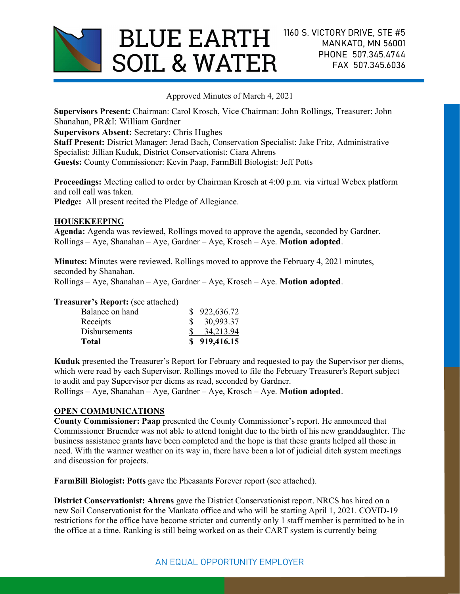

Approved Minutes of March 4, 2021

Supervisors Present: Chairman: Carol Krosch, Vice Chairman: John Rollings, Treasurer: John Shanahan, PR&I: William Gardner

Supervisors Absent: Secretary: Chris Hughes

Staff Present: District Manager: Jerad Bach, Conservation Specialist: Jake Fritz, Administrative Specialist: Jillian Kuduk, District Conservationist: Ciara Ahrens Guests: County Commissioner: Kevin Paap, FarmBill Biologist: Jeff Potts

Proceedings: Meeting called to order by Chairman Krosch at 4:00 p.m. via virtual Webex platform and roll call was taken.

Pledge: All present recited the Pledge of Allegiance.

## **HOUSEKEEPING**

Agenda: Agenda was reviewed, Rollings moved to approve the agenda, seconded by Gardner.  $Rollings - Aye$ , Shanahan – Aye, Gardner – Aye, Krosch – Aye. **Motion adopted.** 

Minutes: Minutes were reviewed, Rollings moved to approve the February 4, 2021 minutes, seconded by Shanahan.

Rollings – Aye, Shanahan – Aye, Gardner – Aye, Krosch – Aye. Motion adopted.

### Treasurer's Report: (see attached)

| Receipts             | 30,993.37    |
|----------------------|--------------|
| <b>Disbursements</b> | 34,213.94    |
| Total                | \$919,416.15 |

Kuduk presented the Treasurer's Report for February and requested to pay the Supervisor per diems, which were read by each Supervisor. Rollings moved to file the February Treasurer's Report subject to audit and pay Supervisor per diems as read, seconded by Gardner.

 $Rollings - Aye$ , Shanahan – Aye, Gardner – Aye, Krosch – Aye. **Motion adopted.** 

## OPEN COMMUNICATIONS

County Commissioner: Paap presented the County Commissioner's report. He announced that Commissioner Bruender was not able to attend tonight due to the birth of his new granddaughter. The business assistance grants have been completed and the hope is that these grants helped all those in need. With the warmer weather on its way in, there have been a lot of judicial ditch system meetings and discussion for projects.

FarmBill Biologist: Potts gave the Pheasants Forever report (see attached).

District Conservationist: Ahrens gave the District Conservationist report. NRCS has hired on a new Soil Conservationist for the Mankato office and who will be starting April 1, 2021. COVID-19 restrictions for the office have become stricter and currently only 1 staff member is permitted to be in the office at a time. Ranking is still being worked on as their CART system is currently being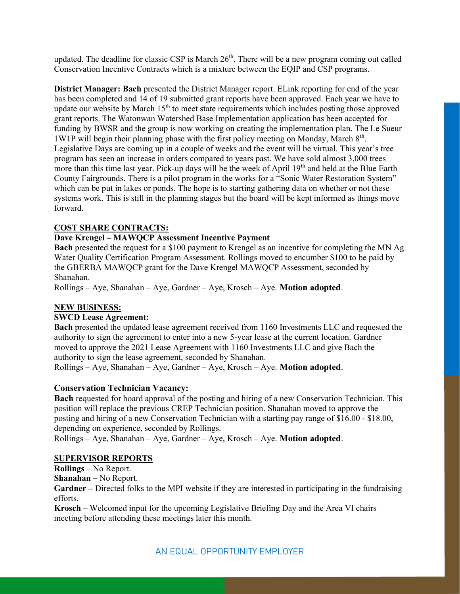updated. The deadline for classic CSP is March  $26<sup>th</sup>$ . There will be a new program coming out called Conservation Incentive Contracts which is a mixture between the EQIP and CSP programs.

District Manager: Bach presented the District Manager report. ELink reporting for end of the year has been completed and 14 of 19 submitted grant reports have been approved. Each year we have to update our website by March  $15<sup>th</sup>$  to meet state requirements which includes posting those approved grant reports. The Watonwan Watershed Base Implementation application has been accepted for funding by BWSR and the group is now working on creating the implementation plan. The Le Sueur 1W1P will begin their planning phase with the first policy meeting on Monday, March  $8<sup>th</sup>$ . Legislative Days are coming up in a couple of weeks and the event will be virtual. This year's tree program has seen an increase in orders compared to years past. We have sold almost 3,000 trees more than this time last year. Pick-up days will be the week of April 19<sup>th</sup> and held at the Blue Earth County Fairgrounds. There is a pilot program in the works for a "Sonic Water Restoration System" which can be put in lakes or ponds. The hope is to starting gathering data on whether or not these systems work. This is still in the planning stages but the board will be kept informed as things move forward.

## COST SHARE CONTRACTS:

# Dave Krengel – MAWQCP Assessment Incentive Payment

Bach presented the request for a \$100 payment to Krengel as an incentive for completing the MN Ag Water Quality Certification Program Assessment. Rollings moved to encumber \$100 to be paid by the GBERBA MAWQCP grant for the Dave Krengel MAWQCP Assessment, seconded by Shanahan.

 $Rollings - Aye$ , Shanahan – Aye, Gardner – Aye, Krosch – Aye. **Motion adopted.** 

## NEW BUSINESS:

## SWCD Lease Agreement:

Bach presented the updated lease agreement received from 1160 Investments LLC and requested the authority to sign the agreement to enter into a new 5-year lease at the current location. Gardner moved to approve the 2021 Lease Agreement with 1160 Investments LLC and give Bach the authority to sign the lease agreement, seconded by Shanahan.

Rollings – Aye, Shanahan – Aye, Gardner – Aye, Krosch – Aye. Motion adopted.

## Conservation Technician Vacancy:

Bach requested for board approval of the posting and hiring of a new Conservation Technician. This position will replace the previous CREP Technician position. Shanahan moved to approve the posting and hiring of a new Conservation Technician with a starting pay range of \$16.00 - \$18.00, depending on experience, seconded by Rollings.

 $Rollings - Aye$ , Shanahan – Aye, Gardner – Aye, Krosch – Aye. **Motion adopted.** 

## SUPERVISOR REPORTS

Rollings – No Report.

Shanahan – No Report.

Gardner – Directed folks to the MPI website if they are interested in participating in the fundraising efforts.

Krosch – Welcomed input for the upcoming Legislative Briefing Day and the Area VI chairs meeting before attending these meetings later this month.